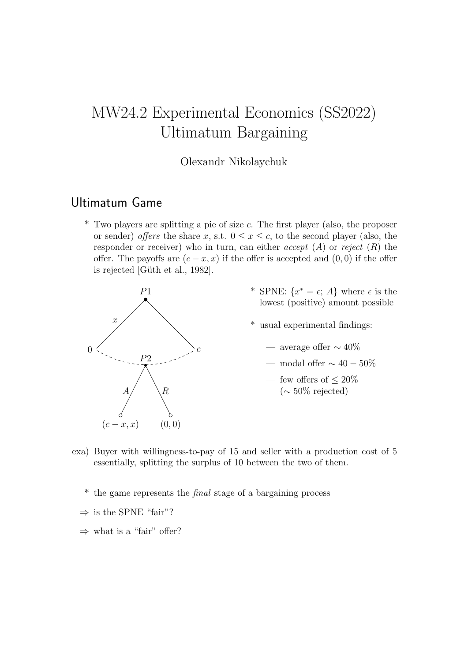# MW24.2 Experimental Economics (SS2022) Ultimatum Bargaining

#### Olexandr Nikolaychuk

### Ultimatum Game

\* Two players are splitting a pie of size c. The first player (also, the proposer or sender) offers the share x, s.t.  $0 \leq x \leq c$ , to the second player (also, the responder or receiver) who in turn, can either *accept*  $(A)$  or *reject*  $(R)$  the offer. The payoffs are  $(c-x, x)$  if the offer is accepted and  $(0, 0)$  if the offer is rejected [Güth et al., 1982].



- \* SPNE:  $\{x^* = \epsilon; A\}$  where  $\epsilon$  is the lowest (positive) amount possible
- \* usual experimental findings:
	- average offer  $\sim 40\%$
	- modal offer  $\sim 40-50\%$
	- few offers of  $\leq 20\%$ (∼ 50% rejected)
- exa) Buyer with willingness-to-pay of 15 and seller with a production cost of 5 essentially, splitting the surplus of 10 between the two of them.
	- \* the game represents the final stage of a bargaining process
	- $\Rightarrow$  is the SPNE "fair"?
	- $\Rightarrow$  what is a "fair" offer?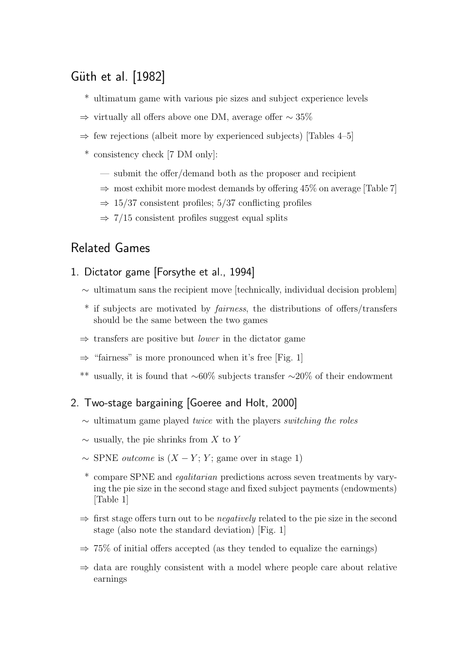## Güth et al. [1982]

- \* ultimatum game with various pie sizes and subject experience levels
- ⇒ virtually all offers above one DM, average offer ∼ 35%
- $\Rightarrow$  few rejections (albeit more by experienced subjects) [Tables 4–5]
- \* consistency check [7 DM only]:
	- submit the offer/demand both as the proposer and recipient
	- $\Rightarrow$  most exhibit more modest demands by offering 45% on average [Table 7]
	- $\Rightarrow$  15/37 consistent profiles; 5/37 conflicting profiles
	- $\Rightarrow$  7/15 consistent profiles suggest equal splits

### Related Games

- 1. Dictator game [Forsythe et al., 1994]
	- $\sim$  ultimatum sans the recipient move [technically, individual decision problem]
	- \* if subjects are motivated by fairness, the distributions of offers/transfers should be the same between the two games
	- $\Rightarrow$  transfers are positive but *lower* in the dictator game
	- $\Rightarrow$  "fairness" is more pronounced when it's free [Fig. 1]
	- \*\* usually, it is found that ∼60% subjects transfer ∼20% of their endowment

#### 2. Two-stage bargaining [Goeree and Holt, 2000]

- $\sim$  ultimatum game played *twice* with the players *switching the roles*
- $\sim$  usually, the pie shrinks from X to Y
- $\sim$  SPNE *outcome* is  $(X Y; Y; \text{game over in stage 1})$
- \* compare SPNE and egalitarian predictions across seven treatments by varying the pie size in the second stage and fixed subject payments (endowments) [Table 1]
- $\Rightarrow$  first stage offers turn out to be *negatively* related to the pie size in the second stage (also note the standard deviation) [Fig. 1]
- $\Rightarrow$  75% of initial offers accepted (as they tended to equalize the earnings)
- $\Rightarrow$  data are roughly consistent with a model where people care about relative earnings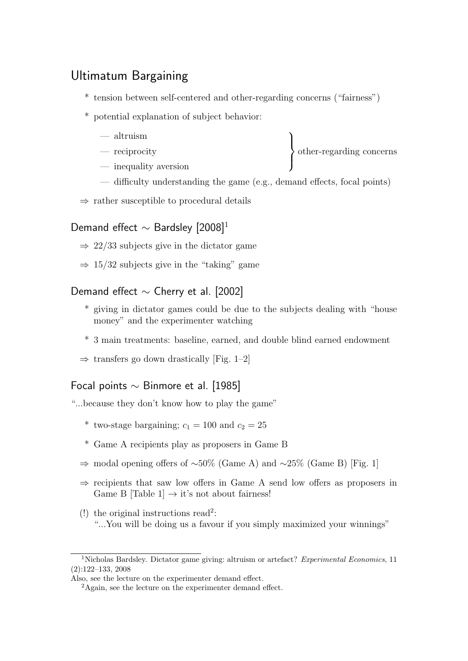## Ultimatum Bargaining

- \* tension between self-centered and other-regarding concerns ("fairness")
- \* potential explanation of subject behavior:
	- altruism
	- reciprocity
	- inequality aversion
	- difficulty understanding the game (e.g., demand effects, focal points)

 $\mathcal{L}$  $\overline{\mathcal{L}}$ 

 $\int$ 

other-regarding concerns

 $\Rightarrow$  rather susceptible to procedural details

### Demand effect  $\sim$  Bardsley [2008]<sup>1</sup>

- $\Rightarrow$  22/33 subjects give in the dictator game
- $\Rightarrow$  15/32 subjects give in the "taking" game

#### Demand effect ∼ Cherry et al. [2002]

- \* giving in dictator games could be due to the subjects dealing with "house money" and the experimenter watching
- \* 3 main treatments: baseline, earned, and double blind earned endowment
- $\Rightarrow$  transfers go down drastically [Fig. 1–2]

#### Focal points ∼ Binmore et al. [1985]

"...because they don't know how to play the game"

- \* two-stage bargaining;  $c_1 = 100$  and  $c_2 = 25$
- \* Game A recipients play as proposers in Game B
- $\Rightarrow$  modal opening offers of ~50% (Game A) and ~25% (Game B) [Fig. 1]
- $\Rightarrow$  recipients that saw low offers in Game A send low offers as proposers in Game B [Table 1]  $\rightarrow$  it's not about fairness!
- (!) the original instructions read<sup>2</sup>: "...You will be doing us a favour if you simply maximized your winnings"

<sup>&</sup>lt;sup>1</sup>Nicholas Bardsley. Dictator game giving: altruism or artefact? Experimental Economics, 11 (2):122–133, 2008

Also, see the lecture on the experimenter demand effect.

<sup>&</sup>lt;sup>2</sup>Again, see the lecture on the experimenter demand effect.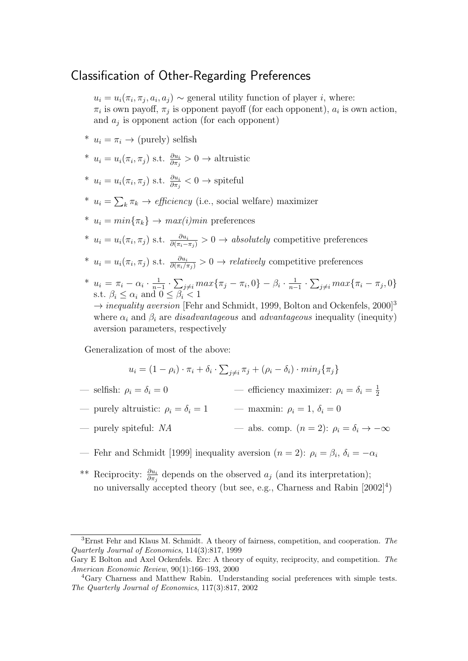### Classification of Other-Regarding Preferences

 $u_i = u_i(\pi_i, \pi_j, a_i, a_j) \sim$  general utility function of player *i*, where:  $\pi_i$  is own payoff,  $\pi_j$  is opponent payoff (for each opponent),  $a_i$  is own action, and  $a_j$  is opponent action (for each opponent)

- \*  $u_i = \pi_i \rightarrow$  (purely) selfish
- \*  $u_i = u_i(\pi_i, \pi_j)$  s.t.  $\frac{\partial u_i}{\partial \pi_j} > 0 \rightarrow$  altruistic
- \*  $u_i = u_i(\pi_i, \pi_j)$  s.t.  $\frac{\partial u_i}{\partial \pi_j} < 0 \rightarrow \text{spiteful}$
- \*  $u_i = \sum_k \pi_k \rightarrow$  *efficiency* (i.e., social welfare) maximizer
- \*  $u_i = min\{\pi_k\} \rightarrow max(i)min$  preferences
- <sup>\*</sup>  $u_i = u_i(\pi_i, \pi_j)$  s.t.  $\frac{\partial u_i}{\partial (\pi_i \pi_j)} > 0 \rightarrow absolutely$  competitive preferences
- <sup>\*</sup>  $u_i = u_i(\pi_i, \pi_j)$  s.t.  $\frac{\partial u_i}{\partial (\pi_i/\pi_j)} > 0 \rightarrow$  relatively competitive preferences
- \*  $u_i = \pi_i \alpha_i \cdot \frac{1}{n-1}$  $\frac{1}{n-1} \cdot \sum_{j \neq i} max\{\pi_j - \pi_i, 0\} - \beta_i \cdot \frac{1}{n-1}$  $\frac{1}{n-1} \cdot \sum_{j \neq i} max\{\pi_i - \pi_j, 0\}$ s.t.  $\beta_i \leq \alpha_i$  and  $0 \leq \beta_i < 1$

 $\rightarrow$  *inequality aversion* [Fehr and Schmidt, 1999, Bolton and Ockenfels, 2000]<sup>3</sup> where  $\alpha_i$  and  $\beta_i$  are *disadvantageous* and *advantageous* inequality (inequity) aversion parameters, respectively

Generalization of most of the above:

$$
u_i = (1 - \rho_i) \cdot \pi_i + \delta_i \cdot \sum_{j \neq i} \pi_j + (\rho_i - \delta_i) \cdot min_j \{\pi_j\}
$$

— selfish:  $\rho_i = \delta_i = 0$ — efficiency maximizer:  $\rho_i = \delta_i = \frac{1}{2}$ 2

— purely altruistic:  $\rho_i = \delta_i = 1$  — maxmin:  $\rho_i = 1, \delta_i = 0$ 

— purely spiteful: NA — abs. comp.  $(n = 2)$ :  $\rho_i = \delta_i \rightarrow -\infty$ 

— Fehr and Schmidt [1999] inequality aversion  $(n = 2)$ :  $\rho_i = \beta_i$ ,  $\delta_i = -\alpha_i$ 

<sup>\*\*</sup> Reciprocity:  $\frac{\partial u_i}{\partial \pi_j}$  depends on the observed  $a_j$  (and its interpretation); no universally accepted theory (but see, e.g., Charness and Rabin [2002]<sup>4</sup>)

<sup>3</sup>Ernst Fehr and Klaus M. Schmidt. A theory of fairness, competition, and cooperation. The Quarterly Journal of Economics, 114(3):817, 1999

Gary E Bolton and Axel Ockenfels. Erc: A theory of equity, reciprocity, and competition. The American Economic Review, 90(1):166–193, 2000

<sup>4</sup>Gary Charness and Matthew Rabin. Understanding social preferences with simple tests. The Quarterly Journal of Economics, 117(3):817, 2002